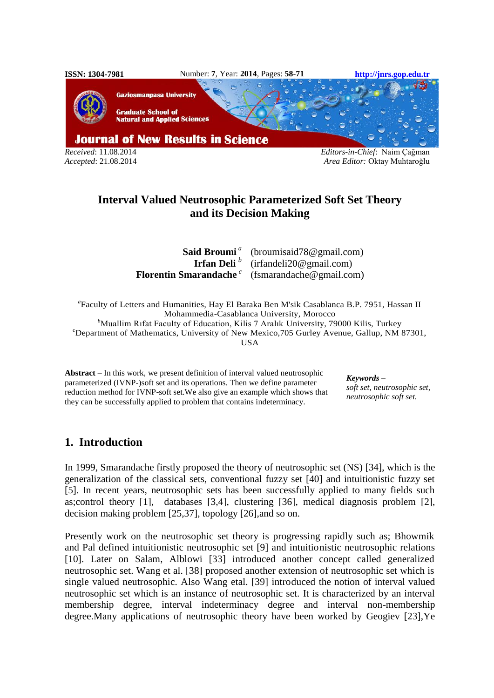

*Accepted*: 21.08.2014 *Area Editor:* Oktay Muhtaroğlu

# **Interval Valued Neutrosophic Parameterized Soft Set Theory and its Decision Making**

| <b>Said Broumi</b> <sup><i>a</i></sup> (broumisaid 78 $@$ gmail.com)         |  |  |  |
|------------------------------------------------------------------------------|--|--|--|
| <b>Irfan Deli</b> $^b$ (irfandeli20@gmail.com)                               |  |  |  |
| <b>Florentin Smarandache</b> $^c$ (fsmarandache $\textcircled{e}$ gmail.com) |  |  |  |

*a* Faculty of Letters and Humanities, Hay El Baraka Ben M'sik Casablanca B.P. 7951, Hassan II Mohammedia-Casablanca University, Morocco <sup>b</sup>Muallim Rıfat Faculty of Education, Kilis 7 Aralık University, 79000 Kilis, Turkey <sup>c</sup>Department of Mathematics, University of New Mexico, 705 Gurley Avenue, Gallup, NM 87301, USA

**Abstract** – In this work, we present definition of interval valued neutrosophic parameterized (IVNP-)soft set and its operations. Then we define parameter reduction method for IVNP-soft set.We also give an example which shows that they can be successfully applied to problem that contains indeterminacy.

*Keywords – soft set, neutrosophic set, neutrosophic soft set.*

# **1. Introduction**

In 1999, Smarandache firstly proposed the theory of neutrosophic set (NS) [34], which is the generalization of the classical sets, conventional fuzzy set [40] and intuitionistic fuzzy set [5]. In recent years, neutrosophic sets has been successfully applied to many fields such as;control theory [1], databases [3,4], clustering [36], medical diagnosis problem [2], decision making problem [25,37], topology [26],and so on.

Presently work on the neutrosophic set theory is progressing rapidly such as; Bhowmik and Pal defined intuitionistic neutrosophic set [9] and intuitionistic neutrosophic relations [10]. Later on Salam, Alblowi [33] introduced another concept called generalized neutrosophic set. Wang et al. [38] proposed another extension of neutrosophic set which is single valued neutrosophic. Also Wang etal. [39] introduced the notion of interval valued neutrosophic set which is an instance of neutrosophic set. It is characterized by an interval membership degree, interval indeterminacy degree and interval non-membership degree.Many applications of neutrosophic theory have been worked by Geogiev [23],Ye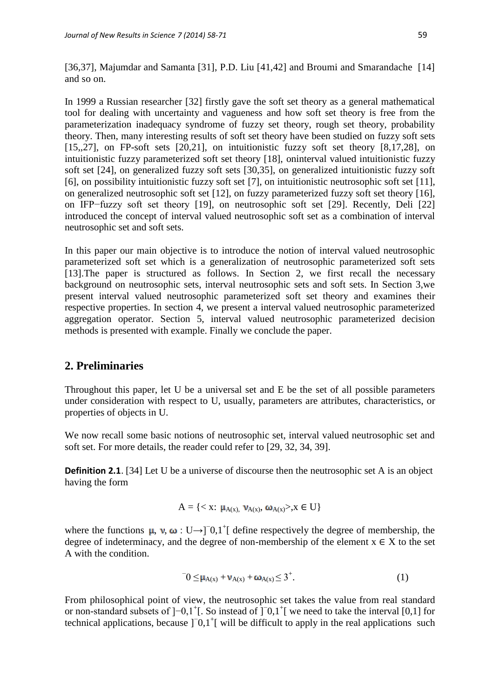[36,37], Majumdar and Samanta [31], P.D. Liu [41,42] and Broumi and Smarandache [14] and so on.

In 1999 a Russian researcher [32] firstly gave the soft set theory as a general mathematical tool for dealing with uncertainty and vagueness and how soft set theory is free from the parameterization inadequacy syndrome of fuzzy set theory, rough set theory, probability theory. Then, many interesting results of soft set theory have been studied on fuzzy soft sets [15,,27], on FP-soft sets [20,21], on intuitionistic fuzzy soft set theory [8,17,28], on intuitionistic fuzzy parameterized soft set theory [18], oninterval valued intuitionistic fuzzy soft set [24], on generalized fuzzy soft sets [30,35], on generalized intuitionistic fuzzy soft [6], on possibility intuitionistic fuzzy soft set [7], on intuitionistic neutrosophic soft set [11], on generalized neutrosophic soft set [12], on fuzzy parameterized fuzzy soft set theory [16], on IFP−fuzzy soft set theory [19], on neutrosophic soft set [29]. Recently, Deli [22] introduced the concept of interval valued neutrosophic soft set as a combination of interval neutrosophic set and soft sets.

In this paper our main objective is to introduce the notion of interval valued neutrosophic parameterized soft set which is a generalization of neutrosophic parameterized soft sets [13]. The paper is structured as follows. In Section 2, we first recall the necessary background on neutrosophic sets, interval neutrosophic sets and soft sets. In Section 3,we present interval valued neutrosophic parameterized soft set theory and examines their respective properties. In section 4, we present a interval valued neutrosophic parameterized aggregation operator. Section 5, interval valued neutrosophic parameterized decision methods is presented with example. Finally we conclude the paper.

## **2. Preliminaries**

Throughout this paper, let U be a universal set and E be the set of all possible parameters under consideration with respect to U, usually, parameters are attributes, characteristics, or properties of objects in U.

We now recall some basic notions of neutrosophic set, interval valued neutrosophic set and soft set. For more details, the reader could refer to [29, 32, 34, 39].

**Definition 2.1.** [34] Let U be a universe of discourse then the neutrosophic set A is an object having the form

$$
A = \{ , x \in U \}
$$

where the functions  $\mu$ ,  $\nu$ ,  $\omega$  : U→]<sup>-</sup>0,1<sup>+</sup>[ define respectively the degree of membership, the degree of indeterminacy, and the degree of non-membership of the element  $x \in X$  to the set A with the condition.

$$
0 \leq \mu_{A(x)} + \nu_{A(x)} + \omega_{A(x)} \leq 3^+.
$$
 (1)

From philosophical point of view, the neutrosophic set takes the value from real standard or non-standard subsets of  $]-0,1^+[$ . So instead of  $]$ <sup>-</sup>0,1<sup>+</sup>[ we need to take the interval [0,1] for technical applications, because ]<sup>-</sup>0,1<sup>+</sup>[ will be difficult to apply in the real applications such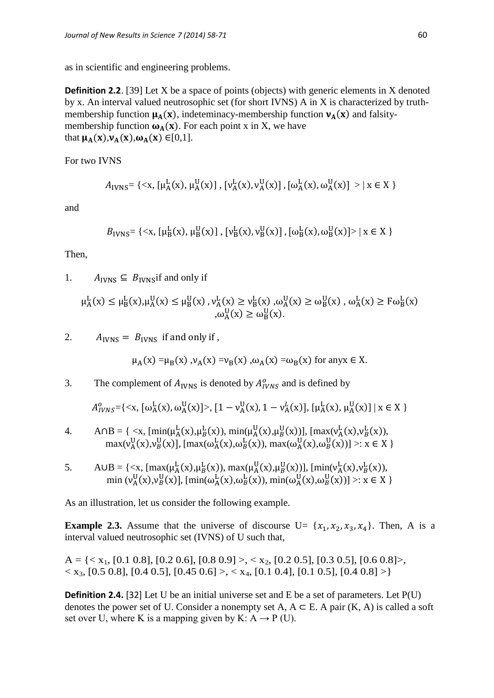as in scientific and engineering problems.

**Definition 2.2.** [39] Let X be a space of points (objects) with generic elements in X denoted by x. An interval valued neutrosophic set (for short IVNS) A in X is characterized by truthmembership function  $\mu_A(x)$ , indeteminacy-membership function  $v_A(x)$  and falsitymembership function  $\omega_A(x)$ . For each point x in X, we have that  $\mu_A(x), \nu_A(x), \omega_A(x) \in [0,1].$ 

For two IVNS

$$
A_{IVNS} = \{ \langle x, [\mu^L_A(x), \mu^U_A(x)] , [v^L_A(x), v^U_A(x)] , [\omega^L_A(x), \omega^U_A(x)] > | x \in X \}
$$

and

$$
B_{IVNS}
$$
 = {\mu\_B^L(x),  $\mu_B^U(x)$ ], [ $\nu_B^L(x)$ ,  $\nu_B^U(x)$ ], [ $\omega_B^L(x)$ ,  $\omega_B^U(x)$ ] > | x  $\in X$  }

Then,

1.  $A_{IVNS} \subseteq B_{IVNS}$  if and only if

 $\mu_{A}^{L}(x) \leq \mu_{B}^{L}(x), \mu_{A}^{U}(x) \leq \mu_{B}^{U}(x), \nu_{A}^{L}(x) \geq \nu_{B}^{L}(x), \omega_{A}^{U}(x) \geq \omega_{B}^{U}(x), \omega_{A}^{L}(x) \geq F\omega_{B}^{L}(x)$  $,\omega_A^U(x) \geq \omega_B^U(x)$ .

2.  $A_{IVNS} = B_{IVNS}$  if and only if,

$$
\mu_A(x) = \mu_B(x)
$$
,  $\nu_A(x) = \nu_B(x)$ ,  $\omega_A(x) = \omega_B(x)$  for any  $x \in X$ .

3. The complement of  $A_{IVNS}$  is denoted by  $A_{IVNS}^o$  and is defined by

$$
A_{IVNS}^{0} = \{ \langle x, [\omega_{A}^{L}(x), \omega_{A}^{U}(x)] \rangle, [1 - \nu_{A}^{U}(x), 1 - \nu_{A}^{L}(x)], [\mu_{A}^{L}(x), \mu_{A}^{U}(x)] \mid x \in X \}
$$

4. 
$$
\text{A} \cap B = \{ \langle x, \{ \min(\mu_A^L(x), \mu_B^L(x)), \min(\mu_A^U(x), \mu_B^U(x)) \}, \{ \max(\nu_A^L(x), \nu_B^L(x)), \max(\nu_A^U(x), \nu_B^U(x)) \}, \{ \max(\omega_A^L(x), \omega_B^L(x)), \max(\omega_A^U(x), \omega_B^U(x)) \} \rangle : x \in X \}
$$

5. A  $UB = \{ \langle x, [\max(\mu_A^L(x), \mu_B^L(x)), \max(\mu_A^U(x), \mu_B^U(x))], [\min(\nu_A^L(x), \nu_B^L(x)),$ min ( $v_A^U(x), v_B^U(x)$ ], [min( $\omega_A^L(x), \omega_B^L(x)$ ), min( $\omega_A^U(x), \omega_B^U(x)$ )] >:  $x \in X$  }

As an illustration, let us consider the following example.

**Example 2.3.** Assume that the universe of discourse  $U = \{x_1, x_2, x_3, x_4\}$ . Then, A is a interval valued neutrosophic set (IVNS) of U such that,

A = { $\langle x_1, [0.1 \ 0.8], [0.2 \ 0.6], [0.8 \ 0.9] \rangle$ ,  $\langle x_2, [0.2 \ 0.5], [0.3 \ 0.5], [0.6 \ 0.8] \rangle$ ,  $\langle x_3, [0.5 \ 0.8], [0.4 \ 0.5], [0.45 \ 0.6] \rangle, \langle x_4, [0.1 \ 0.4], [0.1 \ 0.5], [0.4 \ 0.8] \rangle$ 

**Definition 2.4.** [32] Let U be an initial universe set and E be a set of parameters. Let P(U) denotes the power set of U. Consider a nonempty set A,  $A \subseteq E$ . A pair  $(K, A)$  is called a soft set over U, where K is a mapping given by K:  $A \rightarrow P$  (U).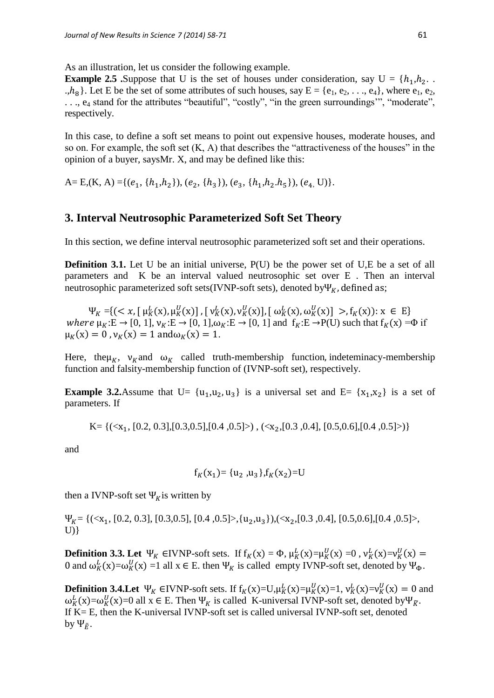As an illustration, let us consider the following example.

**Example 2.5** .Suppose that U is the set of houses under consideration, say  $U = \{h_1, h_2, \ldots, h_m\}$ .,  $h_8$ . Let E be the set of some attributes of such houses, say  $E = \{e_1, e_2, \ldots, e_4\}$ , where  $e_1, e_2$ , . . ., e<sub>4</sub> stand for the attributes "beautiful", "costly", "in the green surroundings", "moderate", respectively.

In this case, to define a soft set means to point out expensive houses, moderate houses, and so on. For example, the soft set (K, A) that describes the "attractiveness of the houses" in the opinion of a buyer, saysMr. X, and may be defined like this:

A= E,(K, A) ={( $e_1$ , { $h_1$ , $h_2$ }), ( $e_2$ , { $h_3$ }), ( $e_3$ , { $h_1$ , $h_2$ , $h_5$ }), ( $e_4$ , U)}.

## **3. Interval Neutrosophic Parameterized Soft Set Theory**

In this section, we define interval neutrosophic parameterized soft set and their operations.

**Definition 3.1.** Let U be an initial universe, P(U) be the power set of U,E be a set of all parameters and K be an interval valued neutrosophic set over E . Then an interval neutrosophic parameterized soft sets(IVNP-soft sets), denoted by  $\Psi_K$ , defined as;

 $\Psi_K = \{ \langle x, [\mu_K^L(x), \mu_K^U(x)], [\nu_K^L(x), \nu_K^U(x)], [\omega_K^L(x), \omega_K^U(x)] \rangle, \}$  f<sub>K</sub>(x)):  $x \in E$ where  $\mu_K$ :E  $\rightarrow$  [0, 1],  $\nu_K$ :E  $\rightarrow$  [0, 1], $\omega_K$ :E  $\rightarrow$  [0, 1] and  $f_K$ :E  $\rightarrow$  P(U) such that  $f_K(x) = \Phi$  if  $\mu_K(x) = 0$ ,  $\nu_K(x) = 1$  and  $\omega_K(x) = 1$ .

Here, the  $\mu_K$ ,  $\nu_K$  and  $\omega_K$  called truth-membership function, indeteminacy-membership function and falsity-membership function of (IVNP-soft set), respectively.

**Example 3.2.**Assume that  $U = \{u_1, u_2, u_3\}$  is a universal set and  $E = \{x_1, x_2\}$  is a set of parameters. If

K= {(
$$
x_1
$$
, [0.2, 0.3],[0.3,0.5],[0.4,0.5]>) , ( $x_2$ ,[0.3,0.4], [0.5,0.6],[0.4,0.5]>)

and

$$
f_K(x_1) = {u_2, u_3}, f_K(x_2) = U
$$

then a IVNP-soft set  $\Psi_k$  is written by

 $\Psi_{K} = \{(\langle x_1, [0.2, 0.3], [0.3, 0.5], [0.4, 0.5], \{u_2, u_3\}), (\langle x_2, [0.3, 0.4], [0.5, 0.6], [0.4, 0.5], \rangle\}$  $U$ }

**Definition 3.3. Let**  $\Psi_K$  ∈IVNP-soft sets. If  $f_K(x) = \Phi$ ,  $\mu_K^L(x) = \mu_K^U(x) = 0$ ,  $\nu_K^L(x) = \nu_K^U(x)$ 0 and  $\omega_K^L(x) = \omega_K^U(x) = 1$  all  $x \in E$ . then  $\Psi_K$  is called empty IVNP-soft set, denoted by  $\Psi_{\Phi}$ .

**Definition 3.4. Let**  $\Psi_K$  ∈IVNP-soft sets. If  $f_K(x)=U, \mu_K^L(x)=\mu_K^U(x)=1, \nu_K^L(x)=\nu_K^U(x)=0$  and  $\omega_K^L(x) = \omega_K^U(x) = 0$  all  $x \in E$ . Then  $\Psi_K$  is called K-universal IVNP-soft set, denoted by  $\Psi_{\tilde{K}}$ . If K= E, then the K-universal IVNP-soft set is called universal IVNP-soft set, denoted by  $\Psi_{\tilde{E}}$ .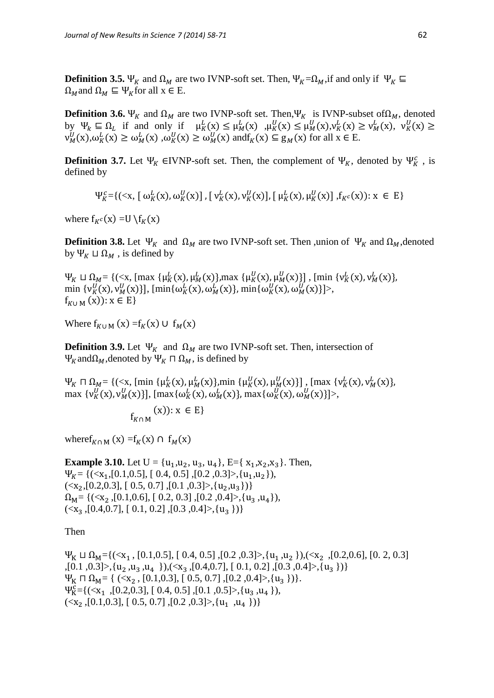**Definition 3.5.**  $\Psi_K$  and  $\Omega_M$  are two IVNP-soft set. Then,  $\Psi_K = \Omega_M$ , if and only if  $\Psi_K \equiv$  $\Omega_M$  and  $\Omega_M \subseteq \Psi_K$  for all  $x \in E$ .

**Definition 3.6.**  $\Psi_K$  and  $\Omega_M$  are two IVNP-soft set. Then,  $\Psi_K$  is IVNP-subset of  $\Omega_M$ , denoted by  $\Psi_k \subseteq \Omega_L$  if and only if  $\mu_K^L(x) \leq \mu_M^L(x)$ ,  $\mu_K^U(x) \leq \mu_M^U(x)$ ,  $\nu_K^L(x) \geq \nu_M^L(x)$ ,  $\nu_K^U(x)$  $v_M^U(x), \omega_K^L(x) \ge \omega_M^L(x)$ ,  $\omega_K^U(x) \ge \omega_M^U(x)$  and  $f_K(x) \subseteq g_M(x)$  for all  $x \in E$ .

**Definition 3.7.** Let  $\Psi_K \in IWNP$ -soft set. Then, the complement of  $\Psi_K$ , denoted by  $\Psi_K^c$ , is defined by

$$
\Psi_K^c = \{ (\langle x, [\omega_K^L(x), \omega_K^U(x)], [\nu_K^L(x), \nu_K^U(x)], [\mu_K^L(x), \mu_K^U(x)], f_{K^c}(x) \colon x \in E \}
$$

where  $f_{K^c}(x) = U$ 

**Definition 3.8.** Let  $\Psi_K$  and  $\Omega_M$  are two IVNP-soft set. Then , union of  $\Psi_K$  and  $\Omega_M$ , denoted by  $\Psi_K \sqcup \Omega_M$ , is defined by

 $\Psi_K \sqcup \Omega_M = \{(\langle x, [\max \{ \mu_K^L(x), \mu_M^L(x) \}], \max \{ \mu_K^U(x), \mu_M^U(x) \}]$ , [min  $\{ v_K^L(x), v_M^L(x) \}$ ]  $\min \{v_N^U(x), v_M^U(x)\}\}\,$ ,  $\{\min \{\omega_K^L(x), \omega_M^L(x)\}\$ ,  $\min \{\omega_K^U(x), \omega_M^U(x)\}\$ .  $f_{K \cup M}(x)$ :  $x \in E$ }

Where  $f_{K \cup M}(x) = f_{K}(x) \cup f_{M}(x)$ 

**Definition 3.9.** Let  $\Psi_K$  and  $\Omega_M$  are two IVNP-soft set. Then, intersection of  $\Psi_K$  and  $\Omega_M$ , denoted by  $\Psi_K \sqcap \Omega_M$ , is defined by

 $\Psi_K \cap \Omega_M = \{(\langle x, \, [\, \min \{ \mu^L_K(x), \mu^L_M(x) \}, \min \{ \mu^U_K(x), \mu^U_M(x) \} \}, \, [\, \max \{ \nu^L_K(x), \nu^L_M(x) \} \, ]$ max  $\{v_N^U(x), v_M^U(x)\}\$ , [max $\{\omega_N^L(x), \omega_M^L(x)\}\$ , max $\{\omega_N^U(x), \omega_M^U(x)\}\$ .

$$
f_{K\cap M}\left( x\right) ):x\in E\}
$$

where  $f_{K \cap M}(x) = f_K(x) \cap f_M(x)$ 

**Example 3.10.** Let  $U = \{u_1, u_2, u_3, u_4\}$ , E={ $x_1, x_2, x_3$ }. Then,  $\Psi_{K} = \{(\langle x_1, [0.1, 0.5], [0.4, 0.5], [0.2, 0.3], \{u_1, u_2\}\},\$  $\{ \langle x_2, [0.2, 0.3], [0.5, 0.7], [0.1, 0.3], \{u_2, u_3\} \rangle \}$  $\Omega_{\text{M}} = \{(\langle x_2, [0.1, 0.6], [0.2, 0.3], [0.2, 0.4], \langle u_3, u_4 \rangle),$  $\{ \langle x_3,[0.4,0.7],[0.1,0.2],[0.3,0.4]\rangle, \{u_3\} \}$ 

Then

 $\Psi_K \sqcup \Omega_M = \{(\langle x_1, [0.1, 0.5], [0.4, 0.5], [0.2, 0.3], \{u_1, u_2\}\}, \langle \langle x_2, [0.2, 0.6], [0.2, 0.3]\rangle\}$ ,[0.1, 0.3]>, $\{u_2, u_3, u_4\}$ ), $(\langle x_3, [0.4, 0.7], [0.1, 0.2], [0.3, 0.4] \rangle, \{u_3\})\}$  $\Psi_K \sqcap \Omega_M = \{ (\langle x_2, [0.1, 0.3], [0.5, 0.7], [0.2, 0.4], \langle u_3 \rangle) \}.$  $\Psi_{K}^{c}$  ={(<x<sub>1</sub>,[0.2,0.3], [0.4, 0.5], [0.1, 0.5]>, {u<sub>3</sub>, u<sub>4</sub>}),  $(\langle x_2, [0.1, 0.3], [0.5, 0.7], [0.2, 0.3], \{u_1, u_4\}\rangle)$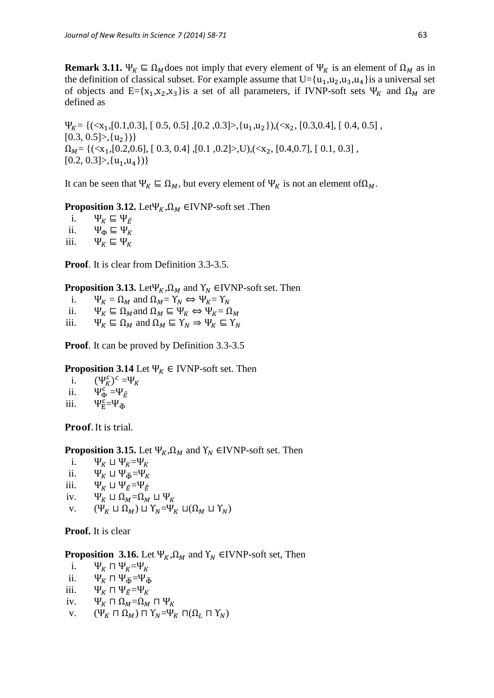**Remark 3.11.**  $\Psi_K \subseteq \Omega_M$  does not imply that every element of  $\Psi_K$  is an element of  $\Omega_M$  as in the definition of classical subset. For example assume that  $U=[u_1, u_2, u_3, u_4]$  is a universal set of objects and E={ $x_1, x_2, x_3$ } is a set of all parameters, if IVNP-soft sets  $\Psi_K$  and  $\Omega_M$  are defined as

 $\Psi_{K} = \{(\langle x_1, [0.1, 0.3], [0.5, 0.5], [0.2, 0.3], \langle u_1, u_2 \rangle), (\langle x_2, [0.3, 0.4], [0.4, 0.5], \langle u_1, u_2 \rangle)\}$  $[0.3, 0.5] > \{u_2\}$  $\Omega_M = \{(\langle x_1, [0.2, 0.6], [0.3, 0.4], [0.1, 0.2], \langle x_2, [0.4, 0.7], [0.1, 0.3], \langle x_3, [0.4, 0.7], \langle x_4, [0.4, 0.7], \langle x_5, [0.4, 0.7], \langle x_6, [0.4, 0.7], \langle x_7, [0.4, 0.7], \langle x_8, [0.4, 0.7], \langle x_9, [0.4, 0.7], \langle x_9, [0.4, 0.7], \langle x_9, [0.4, 0.7], \langle x_9, [0$  $[0.2, 0.3] > \{(u_1, u_4\})\}$ 

It can be seen that  $\Psi_K \subseteq \Omega_M$ , but every element of  $\Psi_K$  is not an element of  $\Omega_M$ .

**Proposition 3.12.** Let  $\Psi_K$ ,  $\Omega_M$  ∈IVNP-soft set . Then

i.  $\Psi_K \subseteq \Psi_{\tilde{E}}$ ii.  $\Psi_{\Phi} \subseteq \Psi_K$ iii.  $\Psi_K \subseteq \Psi_K$ 

**Proof**. It is clear from Definition 3.3-3.5.

**Proposition 3.13.** Let  $\Psi_K$ ,  $\Omega_M$  and  $\Upsilon_N$  ∈IVNP-soft set. Then

i.  $\Psi_K = \Omega_M$  and  $\Omega_M = Y_N \Leftrightarrow \Psi_K = Y_N$ 

ii.  $\Psi_K \subseteq \Omega_M$  and  $\Omega_M \subseteq \Psi_K \Leftrightarrow \Psi_K = \Omega_M$ 

iii.  $\Psi_K \subseteq \Omega_M$  and  $\Omega_M \subseteq Y_N \Rightarrow \Psi_K \subseteq Y_N$ 

**Proof**. It can be proved by Definition 3.3-3.5

## **Proposition 3.14** Let  $\Psi_K \in \text{IVNP-soft set.}$  Then

- i.  $_{K}^{c})^{c}$  = $\Psi$
- ii.  $\Psi_{\Phi}^{\mathcal{C}} = \Psi$
- iii.  $\Psi_{\overline{E}}^c = \Psi_{\widetilde{\Phi}}$

**Proof.** It is trial.

## **Proposition 3.15.** Let  $\Psi_K$ ,  $\Omega_M$  and  $\Upsilon_N$  ∈IVNP-soft set. Then

- i.  $\Psi_K \sqcup \Psi_K = \Psi_K$
- ii.  $\Psi_{K} \sqcup \Psi_{\widetilde{\Phi}} = \Psi_{K}$
- iii.  $\Psi_K \sqcup \Psi_{\tilde{F}} = \Psi_{\tilde{F}}$
- iv.  $\Psi_K \sqcup \Omega_M = \Omega_M \sqcup \Psi_K$
- v.  $(\hat{\Psi}_K \sqcup \hat{\Omega}_M) \sqcup \Upsilon_N = \Psi_K \sqcup (\Omega_M \sqcup \Upsilon_N)$

### **Proof.** It is clear

**Proposition 3.16.** Let  $\Psi_K$ ,  $\Omega_M$  and  $\Upsilon_N$  ∈IVNP-soft set, Then

- i.  $\Psi_K \sqcap \Psi_K = \Psi_K$
- ii.  $\Psi_{K} \Pi \Psi_{\tilde{\Phi}} = \Psi_{\tilde{\Phi}}$
- iii.  $\Psi_K \sqcap \Psi_{\tilde{F}} = \Psi_K$
- iv.  $\Psi_K \cap \Omega_M = \Omega_M \cap \Psi_K$
- v.  $(\Psi_K \sqcap \Omega_M) \sqcap \Upsilon_N = \Psi_K \sqcap (\Omega_L \sqcap \Upsilon_N)$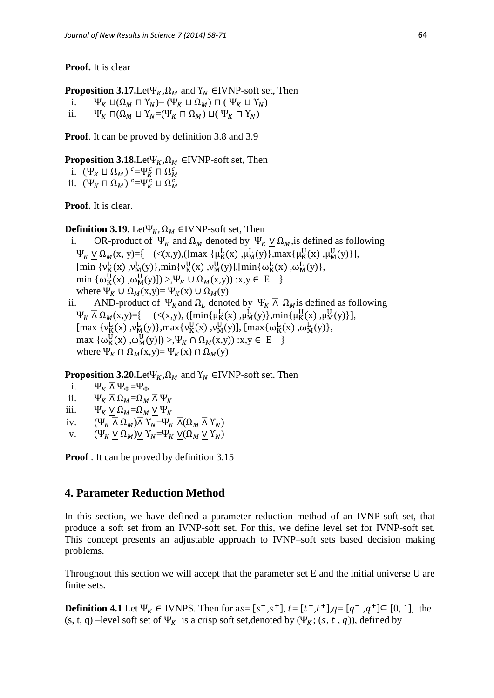**Proof.** It is clear

**Proposition 3.17.**Let  $\Psi_K$ ,  $\Omega_M$  and  $\Upsilon_N$  EIVNP-soft set, Then

i.  $\Psi_K \sqcup (\Omega_M \sqcap \Upsilon_N) = (\Psi_K \sqcup \Omega_M) \sqcap (\Psi_K \sqcup \Upsilon_N)$ 

ii.  $\Psi_K \Pi(\Omega_M \sqcup Y_N = (\Psi_K \Pi \Omega_M) \sqcup (\Psi_K \Pi Y_N)$ 

**Proof**. It can be proved by definition 3.8 and 3.9

**Proposition 3.18.**Let  $\Psi_K$ ,  $\Omega_M$  ∈IVNP-soft set, Then

i.  $(\Psi_K \sqcup \Omega_M)$   $c = \Psi_K^c \sqcap \Omega_N^c$ 

ii.  $(\Psi_K \sqcap \Omega_M)$ <sup>c</sup>= $\Psi_K^c \sqcup \Omega_M^c$ 

**Proof.** It is clear.

**Definition 3.19**. Let  $\Psi_K$ ,  $\Omega_M$  ∈IVNP-soft set, Then

- i. OR-product of  $\Psi_K$  and  $\Omega_M$  denoted by  $\Psi_K \vee \Omega_M$ , is defined as following  $\Psi_K \vee \Omega_M(x, y) = \{ \quad (\langle x, y), ([max \{ \mu_K^L(x), \mu_M^L(y) \}, max\{ \mu_K^U(x), \mu_M^U(y) \} ],$  $[\min \{v_K^L(x), v_M^L(y)\}, \min \{v_K^U(x), v_M^U(y)\}, [\min \{\omega_K^L(x), \omega_M^L(y)\},\$ min  $\{\omega_K^U(x), \omega_M^U(y)\}$  >, $\Psi_K \cup \Omega_M(x,y)$  :x,y  $\in E$ where  $\Psi_K \cup \Omega_M(x,y) = \Psi_K(x) \cup \Omega_M(y)$
- ii. AND-product of  $\Psi_K$  and  $\Omega_L$  denoted by  $\Psi_K \overline{\Lambda}$   $\Omega_M$  is defined as following  $\Psi_K \bar{\wedge} \Omega_M(x,y) = \{ \quad (\langle x,y \rangle, ([min{\{\mu_K^L(x), \mu_M^L(y)\}}, min{\{\mu_K^U(x), \mu_M^U(y)\}}],$  $[\max \{v_K^L(x), v_M^L(y)\}, \max \{v_K^U(x), v_M^U(y)\}, \max \{\omega_K^L(x), \omega_M^L(y)\},\$  $\max \{ \omega_K^U(x), \omega_M^U(y) ] \} > \Psi_K \cap \Omega_M(x,y)$  :x,y  $\in E$ where  $\Psi_K \cap \Omega_M(x,y) = \Psi_K(x) \cap \Omega_M(y)$

**Proposition 3.20.**Let  $\Psi_K$ ,  $\Omega_M$  and  $\Upsilon_N$  EIVNP-soft set. Then

- i.  $\Psi_K \overline{\wedge} \Psi_{\Phi} = \Psi_{\Phi}$
- ii.  $\Psi_K \overline{\wedge} \Omega_M = \Omega_M \overline{\wedge} \Psi_K$
- iii.  $\Psi_K \vee \Omega_M = \Omega_M \vee \Psi_K$
- iv.  $(\Psi_K \overline \wedge \Omega_M) \overline \wedge \Upsilon_N = \Psi_K \overline \wedge (\Omega_M \overline \wedge \Upsilon_N)$
- v.  $(\Psi_K \vee \Omega_M) \vee Y_N = \Psi_K \vee (\Omega_M \vee Y_N)$

**Proof** . It can be proved by definition 3.15

## **4. Parameter Reduction Method**

In this section, we have defined a parameter reduction method of an IVNP-soft set, that produce a soft set from an IVNP-soft set. For this, we define level set for IVNP-soft set. This concept presents an adjustable approach to IVNP–soft sets based decision making problems.

Throughout this section we will accept that the parameter set E and the initial universe U are finite sets.

**Definition 4.1** Let  $\Psi_K$  ∈ IVNPS. Then for as=  $[s^-, s^+]$ ,  $t = [t^-, t^+]$ , $q = [q^-, q^+] \subseteq [0, 1]$ , the (s, t, q) –level soft set of  $\Psi_K$  is a crisp soft set,denoted by ( $\Psi_K$ ; (s, t, q)), defined by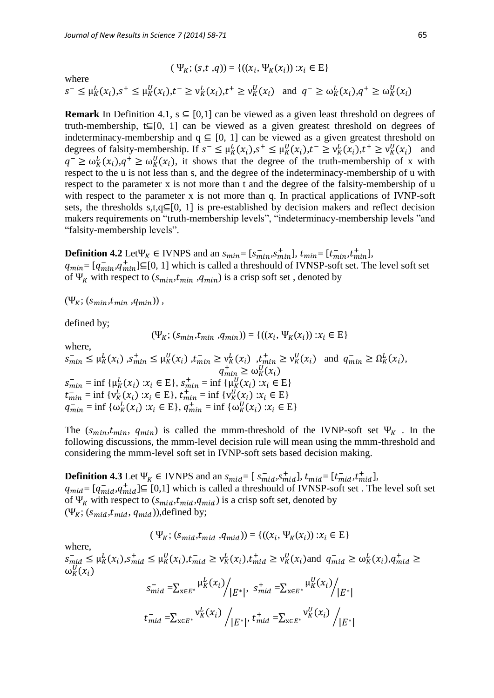where

 $s^- \leq \mu_K^L(x_i), s^+ \leq \mu_K^U(x_i), t^- \geq \nu_K^L(x_i), t^+ \geq \nu_K^U(x_i)$  and  $q^- \geq \omega_K^L(x_i), q^+ \geq \omega_K^U(x_i)$ 

 $(\Psi_K; (s,t, q)) = \{((x_i, \Psi_K(x_i)) : x_i \in E\}$ 

**Remark** In Definition 4.1,  $s \subseteq [0,1]$  can be viewed as a given least threshold on degrees of truth-membership,  $t \subseteq [0, 1]$  can be viewed as a given greatest threshold on degrees of indeterminacy-membership and  $q \subseteq [0, 1]$  can be viewed as a given greatest threshold on degrees of falsity-membership. If  $s^- \leq \mu_K^L(x_i), s^+ \leq \mu_K^U(x_i), t^- \geq \nu_K^L(x_i), t^+ \geq \nu_K^U(x_i)$  and  $q^{-} \geq \omega_K^L(x_i), q^{+} \geq \omega_K^U(x_i)$ , it shows that the degree of the truth-membership of x with respect to the u is not less than s, and the degree of the indeterminacy-membership of u with respect to the parameter x is not more than t and the degree of the falsity-membership of u with respect to the parameter x is not more than q. In practical applications of IVNP-soft sets, the thresholds s,t,q $\subseteq$ [0, 1] is pre-established by decision makers and reflect decision makers requirements on "truth-membership levels", "indeterminacy-membership levels "and "falsity-membership levels".

**Definition 4.2** Let  $\Psi_K \in INNPS$  and an  $s_{min} = [s_{min}^-, s_{min}^+]$ ,  $t_{min} = [t_{min}^-, t_{min}^+]$ ,  $q_{min} = [q_{min}^-, q_{min}^+] \subseteq [0, 1]$  which is called a threshould of IVNSP-soft set. The level soft set of  $\Psi_K$  with respect to  $(s_{min}, t_{min}, q_{min})$  is a crisp soft set, denoted by

$$
(\Psi_K; (s_{min}, t_{min}, q_{min}))
$$

defined by;

where,

$$
(\Psi_K; (s_{min}, t_{min}, q_{min})) = \{((x_i, \Psi_K(x_i)) : x_i \in E\}
$$

 $s_{min}^- \leq \mu_K^L(x_i)$ ,  $s_{min}^+ \leq \mu_K^U(x_i)$ ,  $t_{min}^- \geq \nu_K^L(x_i)$ ,  $t_{min}^+ \geq \nu_K^U(x_i)$  and  $q_{min}^- \geq \Omega_K^L(x_i)$ ,  $q_{min}^+ \geq \omega_K^U$  $s_{min}^- = \inf \{ \mu_K^L(x_i) : x_i \in E \}, s_{min}^+ = \inf \{ \mu_K^U(x_i) : x_i \in E \}$  $t_{min}^-$  = inf { $v_K^L(x_i)$  : $x_i \in E$ },  $t_{min}^+$  = inf { $v_K^U(x_i)$  : $x_i \in E$ }  $q_{min}^- = \inf \{ \omega_K^L(x_i) : x_i \in E \}, q_{min}^+ = \inf \{ \omega_K^U(x_i) : x_i \in E \}$ 

The  $(s_{min}, t_{min}, q_{min})$  is called the mmm-threshold of the IVNP-soft set  $\Psi_K$ . In the following discussions, the mmm-level decision rule will mean using the mmm-threshold and considering the mmm-level soft set in IVNP-soft sets based decision making.

**Definition 4.3** Let  $\Psi_K \in IVNPS$  and an  $s_{mid} = [s_{mid}^{-}, s_{mid}^{+}]$ ,  $t_{mid} = [t_{mid}^{-}, t_{mid}^{+}]$ ,  $q_{mid} = [q_{mid}^-, q_{mid}^+] \subseteq [0,1]$  which is called a threshould of IVNSP-soft set . The level soft set of  $\Psi_K$  with respect to  $(s_{mid}, t_{mid}, q_{mid})$  is a crisp soft set, denoted by  $(\Psi_K; (s_{mid}, t_{mid}, q_{mid}))$ ,defined by;

$$
(\Psi_K; (s_{mid}, t_{mid}, q_{mid})) = \{((x_i, \Psi_K(x_i)) : x_i \in E\}
$$

where,

 $s_{mid} \leq \mu_K^L(x_i), s_{mid}^+ \leq \mu_K^U(x_i), t_{mid}^- \geq \nu_K^L(x_i), t_{mid}^+ \geq \nu_K^U(x_i)$  and  $q_{mid}^- \geq \omega_K^L(x_i), q_{min}^+$  $\omega_K^U($ 

$$
s_{mid}^{-} = \sum_{x \in E^{*}} \frac{\mu_{K}^{L}(x_{i})}{|E^{*}|}, \quad s_{mid}^{+} = \sum_{x \in E^{*}} \frac{\mu_{K}^{U}(x_{i})}{|E^{*}|}
$$
\n
$$
t_{mid}^{-} = \sum_{x \in E^{*}} \frac{\nu_{K}^{L}(x_{i})}{|E^{*}|}, \quad t_{mid}^{+} = \sum_{x \in E^{*}} \frac{\nu_{K}^{U}(x_{i})}{|E^{*}|}
$$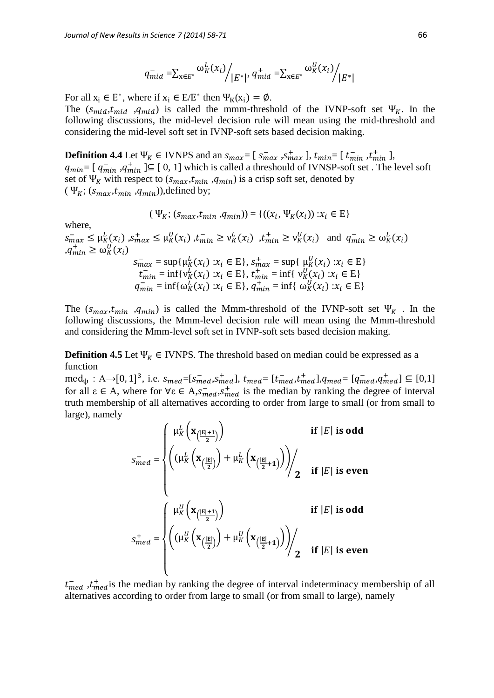$$
q_{mid}^{-} = \sum_{x \in E^*} \omega_K^L(x_i) / |E^*|, q_{mid}^{+} = \sum_{x \in E^*} \omega_K^U(x_i) / |E^*|
$$

For all  $x_i \in E^*$ , where if  $x_i \in E/E^*$  then  $\Psi_K(x_i) = \emptyset$ .

The  $(s_{mid}, t_{mid}, q_{mid})$  is called the mmm-threshold of the IVNP-soft set  $\Psi_K$ . In the following discussions, the mid-level decision rule will mean using the mid-threshold and considering the mid-level soft set in IVNP-soft sets based decision making.

**Definition 4.4** Let  $\Psi_K \in IVNPS$  and an  $s_{max} = [s_{max}^-, s_{max}^+]$ ,  $t_{min} = [t_{min}^-, t_{min}^+]$ ,  $q_{min} = [q_{min}^{-}, q_{min}^{+}] \subseteq [0, 1]$  which is called a threshould of IVNSP-soft set. The level soft set of  $\Psi_K$  with respect to  $(s_{max}, t_{min}, q_{min})$  is a crisp soft set, denoted by  $(\Psi_K; (s_{max}, t_{min}, q_{min})$ ), defined by;

$$
(\Psi_K; (s_{max}, t_{min}, q_{min})) = \{((x_i, \Psi_K(x_i)) : x_i \in E\}
$$

where,

 $s_{max}^{-} \leq \mu_K^L(x_i)$ ,  $s_{max}^{+} \leq \mu_K^U(x_i)$ ,  $t_{min}^{-} \geq \nu_K^L(x_i)$ ,  $t_{min}^{+} \geq \nu_K^U(x_i)$  and  $q_{min}^{-} \geq \omega_K^L(x_i)$  $,q_{min}^+ \geq \omega_K^U$  $s_{max}^- = \sup\{\mu_K^L(x_i) : x_i \in E\}, s_{max}^+ = \sup\{\mu_K^U(x_i) : x_i \in E\}$  $t_{min}^- = \inf \{ v_K^L(x_i) : x_i \in E \}, t_{min}^+ = \inf \{ v_K^U(x_i) : x_i \in E \}$  $q_{min}^- = \inf{\{\omega_K^L(x_i) : x_i \in E\}}$ ,  $q_{min}^+ = \inf{\{\omega_K^U(x_i) : x_i \in E\}}$ 

The  $(s_{max}, t_{min}, q_{min})$  is called the Mmm-threshold of the IVNP-soft set  $\Psi_K$ . In the following discussions, the Mmm-level decision rule will mean using the Mmm-threshold and considering the Mmm-level soft set in IVNP-soft sets based decision making.

**Definition 4.5** Let  $\Psi_K \in IVNPS$ . The threshold based on median could be expressed as a function

 $\text{med}_{\psi}: A \rightarrow [0, 1]^3$ , i.e.  $s_{med} = [s_{med}^-, s_{med}^+]$ ,  $t_{med} = [t_{med}^-, t_{med}^+]$ ,  $q_{med} = [q_{med}^-, q_{med}^+] \subseteq [0, 1]$ for all  $\varepsilon \in A$ , where for  $\forall \varepsilon \in A$ ,  $s_{med}^{-}$ ,  $s_{med}^{+}$  is the median by ranking the degree of interval truth membership of all alternatives according to order from large to small (or from small to large), namely

$$
s_{med}^{-} = \begin{cases} \mu_K^L\left(\mathbf{x}_{\left(\frac{|E|+1}{2}\right)}\right) & \text{if } |E| \text{ is odd} \\ \left((\mu_K^L\left(\mathbf{x}_{\left(\frac{|E|}{2}\right)}\right) + \mu_K^L\left(\mathbf{x}_{\left(\frac{|E|}{2}+1\right)}\right)\right) & \text{if } |E| \text{ is even} \\ \end{cases}
$$

$$
s_{med}^+ = \begin{cases} \mu_K^U\left(\mathbf{x}_{\left(\frac{|E|+1}{2}\right)}\right) & \text{if } |E| \text{ is odd} \\ \left((\mu_K^U\left(\mathbf{x}_{\left(\frac{|E|}{2}\right)}\right) + \mu_K^U\left(\mathbf{x}_{\left(\frac{|E|}{2}+1\right)}\right)\right) & \text{if } |E| \text{ is even} \end{cases}
$$

 $t_{med}^{-}$ ,  $t_{med}^{+}$  is the median by ranking the degree of interval indeterminacy membership of all alternatives according to order from large to small (or from small to large), namely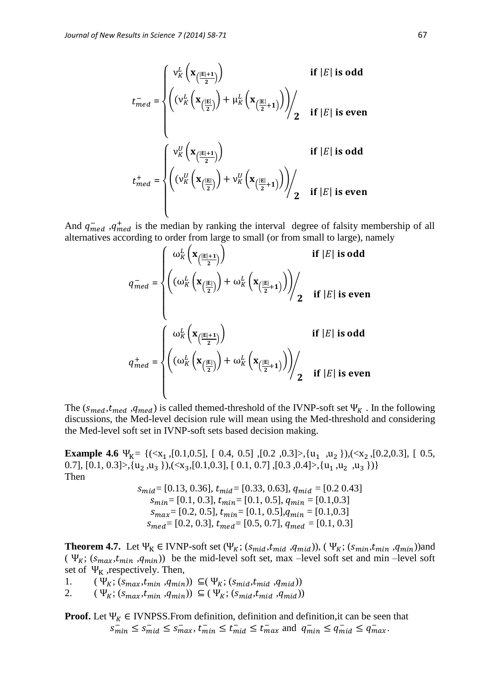$$
t_{med}^{-} = \begin{cases} v_K^L\left(\mathbf{x}_{\left(\frac{|\mathbf{E}|+1}{2}\right)}\right) & \text{if } |E| \text{ is odd} \\ \left(\left(v_K^L\left(\mathbf{x}_{\left(\frac{|\mathbf{E}|}{2}\right)}\right) + \mu_K^L\left(\mathbf{x}_{\left(\frac{|\mathbf{E}|}{2}+1\right)}\right)\right)\right) & \text{if } |E| \text{ is even} \\ \end{cases}
$$

$$
t_{med}^+ = \begin{cases} v_K^U\left(\mathbf{x}_{\left(\frac{|\mathbf{E}|+1}{2}\right)}\right) & \text{if } |E| \text{ is odd} \\ \left(\left(v_K^U\left(\mathbf{x}_{\left(\frac{|\mathbf{E}|}{2}\right)}\right) + v_K^U\left(\mathbf{x}_{\left(\frac{|\mathbf{E}|}{2}+1\right)}\right)\right)\right) & \text{if } |E| \text{ is even} \end{cases}
$$

And  $q_{med}^-$ ,  $q_{med}^+$  is the median by ranking the interval degree of falsity membership of all alternatives according to order from large to small (or from small to large), namely

$$
q_{med}^{-} = \begin{cases} \omega_K^L \left( \mathbf{x}_{\left( \frac{|E|+1}{2} \right)} \right) & \text{if } |E| \text{ is odd} \\ \left( \left( \omega_K^L \left( \mathbf{x}_{\left( \frac{|E|}{2} \right)} \right) + \omega_K^L \left( \mathbf{x}_{\left( \frac{|E|}{2}+1 \right)} \right) \right) \right) & \text{if } |E| \text{ is even} \\ \omega_K^L \left( \mathbf{x}_{\left( \frac{|E|+1}{2} \right)} \right) & \text{if } |E| \text{ is odd} \\ q_{med}^{+} = \begin{cases} \omega_K^L \left( \mathbf{x}_{\left( \frac{|E|}{2} \right)} \right) + \omega_K^L \left( \mathbf{x}_{\left( \frac{|E|}{2}+1 \right)} \right) \right) & \text{if } |E| \text{ is odd} \\ \omega_K^L \left( \mathbf{x}_{\left( \frac{|E|}{2} \right)} \right) + \omega_K^L \left( \mathbf{x}_{\left( \frac{|E|}{2}+1 \right)} \right) & \text{if } |E| \text{ is even} \end{cases} \end{cases}
$$

The ( $s_{med}$ ,  $t_{med}$ ) is called themed-threshold of the IVNP-soft set  $\Psi_K$ . In the following discussions, the Med-level decision rule will mean using the Med-threshold and considering the Med-level soft set in IVNP-soft sets based decision making.

**Example 4.6**  $\Psi_{K} = \{(\langle x_1, [0.1, 0.5], [0.4, 0.5], [0.2, 0.3], \langle u_1, u_2 \rangle\}, \langle x_2, [0.2, 0.3], [0.5, 0.5], \langle x_3, [0.2, 0.3], \langle x_4, [0.2, 0.3], \rangle\}$ 0.7],  $[0.1, 0.3] > \{u_2, u_3\}$ ,  $(\langle x_3, [0.1, 0.3], [0.1, 0.7], [0.3, 0.4] > \{u_1, u_2, u_3\})\}$ Then

$$
s_{mid} = [0.13, 0.36], t_{mid} = [0.33, 0.63], q_{mid} = [0.2 0.43]
$$

$$
s_{min} = [0.1, 0.3], t_{min} = [0.1, 0.5], q_{min} = [0.1, 0.3]
$$

$$
s_{max} = [0.2, 0.5], t_{min} = [0.1, 0.5], q_{min} = [0.1, 0.3]
$$

$$
s_{med} = [0.2, 0.3], t_{med} = [0.5, 0.7], q_{med} = [0.1, 0.3]
$$

**Theorem 4.7.** Let  $\Psi_K \in INNP$ -soft set  $(\Psi_K; (s_{mid}, t_{mid}, q_{mid}))$ ,  $(\Psi_K; (s_{min}, t_{min}, q_{min}))$ and ( $\Psi_K$ ; ( $s_{max}, t_{min}, q_{min}$ )) be the mid-level soft set, max –level soft set and min –level soft set of  $\Psi_K$ , respectively. Then,

1.  $(\Psi_K; (s_{max}, t_{min}, q_{min})) \subseteq (\Psi_K; (s_{mid}, t_{mid}, q_{mid}))$ 

2.  $(\Psi_K; (s_{max}, t_{min}, q_{min})) \subseteq (\Psi_K; (s_{mid}, t_{mid}, q_{mid}))$ 

**Proof.** Let  $\Psi_K \in \text{IVNPSS}$ . From definition, definition and definition, it can be seen that  $s_{\min}^- \leq s_{\min}^- \leq s_{\max}^-$ ,  $t_{\min}^- \leq t_{\min}^- \leq t_{\max}^-$  and  $q_{\min}^- \leq q_{\min}^- \leq q_{\max}^-$ .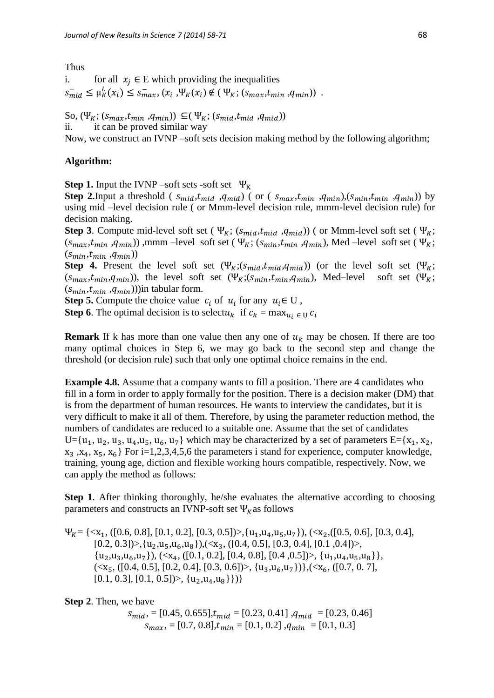#### Thus

i. for all  $x_i \in E$  which providing the inequalities  $s_{mid} \leq \mu_K^L(x_i) \leq s_{max}^-(x_i, \Psi_K(x_i) \notin (\Psi_K; (s_{max}, t_{min}, q_{min}))$ .

So,  $(\Psi_K; (s_{max}, t_{min}, q_{min})) \subseteq (\Psi_K; (s_{mid}, t_{mid}, q_{mid}))$ ii. it can be proved similar way

Now, we construct an IVNP –soft sets decision making method by the following algorithm;

#### **Algorithm:**

**Step 1.** Input the IVNP –soft sets -soft set  $\Psi_K$ 

**Step 2.**Input a threshold ( $s_{mid}, t_{mid}$ ,  $q_{mid}$ ) (or ( $s_{max}, t_{min}$ ,  $q_{min}$ ),  $(s_{min}, t_{min}, q_{min})$ ) by using mid –level decision rule ( or Mmm-level decision rule, mmm-level decision rule) for decision making.

**Step 3**. Compute mid-level soft set ( $\Psi_K$ ;  $(s_{mid}, t_{mid}, q_{mid})$ ) (or Mmm-level soft set ( $\Psi_K$ ;  $(s_{max}, t_{min}, q_{min})$ , mmm –level soft set ( $\Psi_K$ ;  $(s_{min}, t_{min}, q_{min})$ , Med –level soft set ( $\Psi_K$ ;  $(s_{min}, t_{min}, q_{min})$ 

**Step 4.** Present the level soft set  $(\Psi_K; (s_{mid}, t_{mid}, q_{mid}))$  (or the level soft set  $(\Psi_K;$  $(s_{max}, t_{min}, q_{min})$ , the level soft set  $(\Psi_K; (s_{min}, t_{min}, q_{min})$ , Med–level soft set  $(\Psi_K;$  $(s_{min}, t_{min}, q_{min}))$ in tabular form.

**Step 5.** Compute the choice value  $c_i$  of  $u_i$  for any  $u_i \in U$ ,

**Step 6**. The optimal decision is to selectu<sub>k</sub> if  $c_k = \max_{u_i \in U} c_i$ 

**Remark** If k has more than one value then any one of  $u_k$  may be chosen. If there are too many optimal choices in Step 6, we may go back to the second step and change the threshold (or decision rule) such that only one optimal choice remains in the end.

**Example 4.8.** Assume that a company wants to fill a position. There are 4 candidates who fill in a form in order to apply formally for the position. There is a decision maker (DM) that is from the department of human resources. He wants to interview the candidates, but it is very difficult to make it all of them. Therefore, by using the parameter reduction method, the numbers of candidates are reduced to a suitable one. Assume that the set of candidates  $U = \{u_1, u_2, u_3, u_4, u_5, u_6, u_7\}$  which may be characterized by a set of parameters  $E = \{x_1, x_2, x_3, u_4, u_5, u_6, u_7\}$  $x_3, x_4, x_5, x_6$  For i=1,2,3,4,5,6 the parameters i stand for experience, computer knowledge, training, young age, diction and flexible working hours compatible, respectively. Now, we can apply the method as follows:

**Step 1.** After thinking thoroughly, he/she evaluates the alternative according to choosing parameters and constructs an IVNP-soft set  $\Psi_R$  as follows

 $\Psi_{K} = \{ \langle x_1, ([0.6, 0.8], [0.1, 0.2], [0.3, 0.5]) \rangle, \{u_1, u_4, u_5, u_7\} \}, \langle \langle x_2, ([0.5, 0.6], [0.3, 0.4],$  $[0.2, 0.3]$  $>$ ,  $\{u_2, u_5, u_6, u_8\}$ ,  $(\langle x_3, (0.4, 0.5], [0.3, 0.4], [0.1, 0.4])$  $>$ ,  $\{u_2, u_3, u_6, u_7\}, \{x_4, ([0.1, 0.2], [0.4, 0.8], [0.4, 0.5])\}, \{u_1, u_4, u_5, u_8\}\},\$  $(\langle x, \{10.4, 0.5\}, [0.2, 0.4], [0.3, 0.6]) \rangle, \{u_3, u_6, u_7\}\}, \langle x_6, ([0.7, 0.7],$  $[0.1, 0.3], [0.1, 0.5]) >$ ,  $\{u_2, u_4, u_8\}\})$ 

**Step 2**. Then, we have

 $s_{mid}$ , = [0.45, 0.655], $t_{mid}$  = [0.23, 0.41], $q_{mid}$  = [0.23, 0.46]  $s_{max}$ , = [0.7, 0.8], $t_{min}$  = [0.1, 0.2], $q_{min}$  = [0.1, 0.3]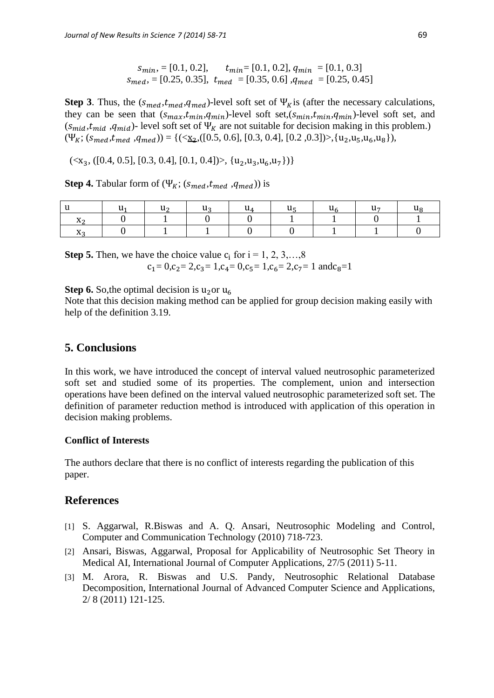$s_{min}$ , = [0.1, 0.2],  $t_{min}$  = [0.1, 0.2],  $q_{min}$  = [0.1, 0.3]  $s_{med}$  = [0.25, 0.35],  $t_{med}$  = [0.35, 0.6] , $q_{med}$  = [0.25, 0.45]

**Step 3**. Thus, the  $(s_{med}, t_{med}, q_{med})$ -level soft set of  $\Psi_K$  is (after the necessary calculations, they can be seen that  $(s_{max}, t_{min}, q_{min})$ -level soft set, $(s_{min}, t_{min}, q_{min})$ -level soft set, and  $(s_{mid}, t_{mid}, q_{mid})$ - level soft set of  $\Psi_K$  are not suitable for decision making in this problem.)  $(\Psi_K; (s_{med}, t_{med}, q_{med})) = {((\langle \underline{x}_2, ([0.5, 0.6], [0.3, 0.4], [0.2, 0.3]) \rangle, [u_2, u_5, u_6, u_8]),}$ 

 $\{\langle x_3, ([0.4, 0.5], [0.3, 0.4], [0.1, 0.4]) \rangle, \{u_2, u_3, u_6, u_7\}\}\$ 

**Step 4.** Tabular form of  $(\Psi_K; (s_{med}, t_{med}, q_{med}))$  is

**Step 5.** Then, we have the choice value  $c_i$  for  $i = 1, 2, 3, \ldots, 8$  $c_1 = 0$ ,  $c_2 = 2$ ,  $c_3 = 1$ ,  $c_4 = 0$ ,  $c_5 = 1$ ,  $c_6 = 2$ ,  $c_7 = 1$  and  $c_8 = 1$ 

**Step 6.** So, the optimal decision is  $u_2$  or  $u_6$ 

Note that this decision making method can be applied for group decision making easily with help of the definition 3.19.

## **5. Conclusions**

In this work, we have introduced the concept of interval valued neutrosophic parameterized soft set and studied some of its properties. The complement, union and intersection operations have been defined on the interval valued neutrosophic parameterized soft set. The definition of parameter reduction method is introduced with application of this operation in decision making problems.

### **Conflict of Interests**

The authors declare that there is no conflict of interests regarding the publication of this paper.

## **References**

- [1] S. Aggarwal, R.Biswas and A. Q. Ansari, Neutrosophic Modeling and Control, Computer and Communication Technology (2010) 718-723.
- [2] Ansari, Biswas, Aggarwal, Proposal for Applicability of Neutrosophic Set Theory in Medical AI, International Journal of Computer Applications, 27/5 (2011) 5-11.
- [3] M. Arora, R. Biswas and U.S. Pandy, Neutrosophic Relational Database Decomposition, International Journal of Advanced Computer Science and Applications, 2/ 8 (2011) 121-125.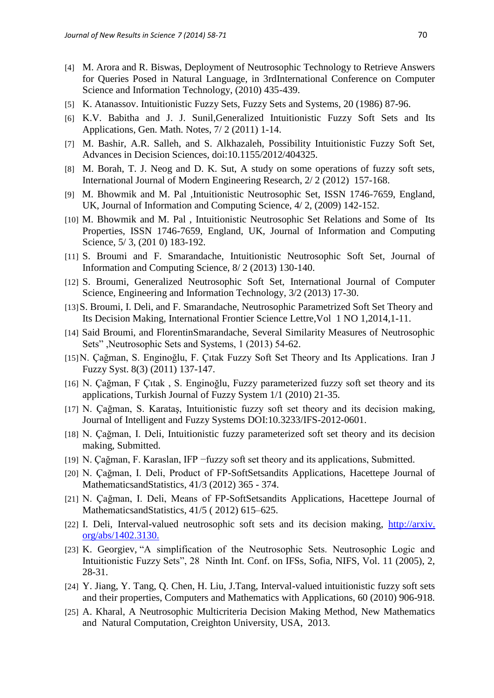- [4] M. Arora and R. Biswas, Deployment of Neutrosophic Technology to Retrieve Answers for Queries Posed in Natural Language, in 3rdInternational Conference on Computer Science and Information Technology, (2010) 435-439.
- [5] K. Atanassov. Intuitionistic Fuzzy Sets, Fuzzy Sets and Systems, 20 (1986) 87-96.
- [6] K.V. Babitha and J. J. Sunil,Generalized Intuitionistic Fuzzy Soft Sets and Its Applications, Gen. Math. Notes, 7/ 2 (2011) 1-14.
- [7] M. Bashir, A.R. Salleh, and S. Alkhazaleh, Possibility Intuitionistic Fuzzy Soft Set, Advances in Decision Sciences, doi:10.1155/2012/404325.
- [8] M. Borah, T. J. Neog and D. K. Sut, A study on some operations of fuzzy soft sets, International Journal of Modern Engineering Research, 2/ 2 (2012) 157-168.
- [9] M. Bhowmik and M. Pal ,Intuitionistic Neutrosophic Set, ISSN 1746-7659, England, UK, Journal of Information and Computing Science, 4/ 2, (2009) 142-152.
- [10] M. Bhowmik and M. Pal, Intuitionistic Neutrosophic Set Relations and Some of Its Properties, ISSN 1746-7659, England, UK, Journal of Information and Computing Science,  $5/3$ , (201 0) 183-192.
- [11] S. Broumi and F. Smarandache, Intuitionistic Neutrosophic Soft Set, Journal of Information and Computing Science, 8/ 2 (2013) 130-140.
- [12] S. Broumi, Generalized Neutrosophic Soft Set, International Journal of Computer Science, Engineering and Information Technology, 3/2 (2013) 17-30.
- [13]S. Broumi, I. Deli, and F. Smarandache, Neutrosophic Parametrized Soft Set Theory and Its Decision Making, International Frontier Science Lettre,Vol 1 NO 1,2014,1-11.
- [14] Said Broumi, and FlorentinSmarandache, Several Similarity Measures of Neutrosophic Sets" ,Neutrosophic Sets and Systems, 1 (2013) 54-62.
- [15]N. Çağman, S. Enginoğlu, F. Çıtak Fuzzy Soft Set Theory and Its Applications. Iran J Fuzzy Syst. 8(3) (2011) 137-147.
- [16] N. Çağman, F Çıtak , S. Enginoğlu, Fuzzy parameterized fuzzy soft set theory and its applications, Turkish Journal of Fuzzy System 1/1 (2010) 21-35.
- [17] N. Çağman, S. Karataş, Intuitionistic fuzzy soft set theory and its decision making, Journal of Intelligent and Fuzzy Systems DOI:10.3233/IFS-2012-0601.
- [18] N. Çağman, I. Deli, Intuitionistic fuzzy parameterized soft set theory and its decision making, Submitted.
- [19] N. Çağman, F. Karaslan, IFP −fuzzy soft set theory and its applications, Submitted.
- [20] N. Çağman, I. Deli, Product of FP-SoftSetsandits Applications, Hacettepe Journal of MathematicsandStatistics, 41/3 (2012) 365 - 374.
- [21] N. Çağman, I. Deli, Means of FP-SoftSetsandits Applications, Hacettepe Journal of MathematicsandStatistics, 41/5 ( 2012) 615–625.
- [22] I. Deli, Interval-valued neutrosophic soft sets and its decision making, http://arxiv. org/abs/1402.3130.
- [23] K. Georgiev, "A simplification of the Neutrosophic Sets. Neutrosophic Logic and Intuitionistic Fuzzy Sets", 28 Ninth Int. Conf. on IFSs, Sofia, NIFS, Vol. 11 (2005), 2, 28-31.
- [24] Y. Jiang, Y. Tang, Q. Chen, H. Liu, J.Tang, Interval-valued intuitionistic fuzzy soft sets and their properties, Computers and Mathematics with Applications, 60 (2010) 906-918.
- [25] A. Kharal, A Neutrosophic Multicriteria Decision Making Method, New Mathematics and Natural Computation, Creighton University, USA, 2013.